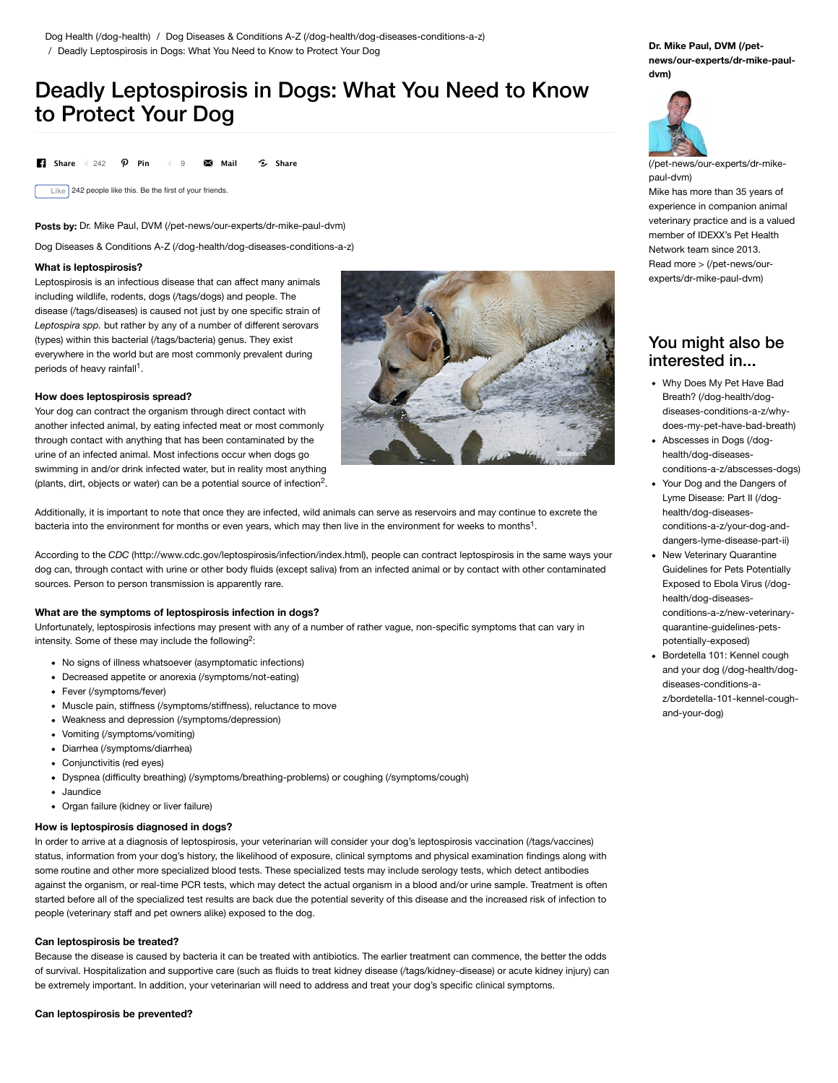# Deadly Leptospirosis in Dogs: What You Need to Know to Protect Your Dog

**13** Share 4 242 **0 Pin** 4 9 **24 Mail 6 Share** 

**Like** 242 people like this. Be the first of your friends.

Posts by: [Dr. Mike Paul, DVM \(/pet-news/our-experts/dr-mike-paul-dvm\)](http://www.pethealthnetwork.com/pet-news/our-experts/dr-mike-paul-dvm)

[Dog Diseases & Conditions A-Z \(/dog-health/dog-diseases-conditions-a-z\)](http://www.pethealthnetwork.com/dog-health/dog-diseases-conditions-a-z)

### **What is leptospirosis?**

Leptospirosis is an infectious disease that can affect many animals including wildlife, rodents, [dogs \(/tags/dogs\)](http://www.pethealthnetwork.com/tags/dogs) and people. The [disease \(/tags/diseases\)](http://www.pethealthnetwork.com/tags/diseases) is caused not just by one specific strain of *Leptospira spp.* but rather by any of a number of different serovars (types) within this [bacterial \(/tags/bacteria\)](http://www.pethealthnetwork.com/tags/bacteria) genus. They exist everywhere in the world but are most commonly prevalent during periods of heavy rainfall<sup>1</sup>.

### **How does leptospirosis spread?**

Your dog can contract the organism through direct contact with another infected animal, by eating infected meat or most commonly through contact with anything that has been contaminated by the urine of an infected animal. Most infections occur when dogs go swimming in and/or drink infected water, but in reality most anything (plants, dirt, objects or water) can be a potential source of infection<sup>2</sup>.

Additionally, it is important to note that once they are infected, wild animals can serve as reservoirs and may continue to excrete the bacteria into the environment for months or even years, which may then live in the environment for weeks to months<sup>1</sup>.

According to the *CDC* [\(http://www.cdc.gov/leptospirosis/infection/index.html\),](http://www.cdc.gov/leptospirosis/infection/index.html) people can contract leptospirosis in the same ways your dog can, through contact with urine or other body fluids (except saliva) from an infected animal or by contact with other contaminated sources. Person to person transmission is apparently rare.

### **What are the symptoms of leptospirosis infection in dogs?**

Unfortunately, leptospirosis infections may present with any of a number of rather vague, non-specific symptoms that can vary in intensity. Some of these may include the following<sup>2</sup>:

- No signs of illness whatsoever (asymptomatic infections)
- [Decreased appetite or anorexia \(/symptoms/not-eating\)](http://www.pethealthnetwork.com/symptoms/not-eating)
- [Fever \(/symptoms/fever\)](http://www.pethealthnetwork.com/symptoms/fever)
- Muscle pain, stiff[ness \(/symptoms/sti](http://www.pethealthnetwork.com/symptoms/stiffness)ffness), reluctance to move
- Weakness and [depression \(/symptoms/depression\)](http://www.pethealthnetwork.com/symptoms/depression)
- [Vomiting \(/symptoms/vomiting\)](http://www.pethealthnetwork.com/symptoms/vomiting)
- [Diarrhea \(/symptoms/diarrhea\)](http://www.pethealthnetwork.com/symptoms/diarrhea)
- Conjunctivitis (red eyes)
- Dyspnea (diffi[culty breathing\) \(/symptoms/breathing-problems\)](http://www.pethealthnetwork.com/symptoms/breathing-problems) or [coughing \(/symptoms/cough\)](http://www.pethealthnetwork.com/symptoms/cough)
- Jaundice
- Organ failure (kidney or liver failure)

# **How is leptospirosis diagnosed in dogs?**

In order to arrive at a diagnosis of leptospirosis, your veterinarian will consider your dog's leptospirosis [vaccination \(/tags/vaccines\)](http://www.pethealthnetwork.com/tags/vaccines) status, information from your dog's history, the likelihood of exposure, clinical symptoms and physical examination findings along with some routine and other more specialized blood tests. These specialized tests may include serology tests, which detect antibodies against the organism, or real-time PCR tests, which may detect the actual organism in a blood and/or urine sample. Treatment is often started before all of the specialized test results are back due the potential severity of this disease and the increased risk of infection to people (veterinary staff and pet owners alike) exposed to the dog.

### **Can leptospirosis be treated?**

Because the disease is caused by bacteria it can be treated with antibiotics. The earlier treatment can commence, the better the odds of survival. Hospitalization and supportive care (such as fluids to treat [kidney disease \(/tags/kidney-disease\)](http://www.pethealthnetwork.com/tags/kidney-disease) or acute kidney injury) can be extremely important. In addition, your veterinarian will need to address and treat your dog's specific clinical symptoms.



**Dr. Mike Paul, DVM (/pet[news/our-experts/dr-mike-paul](http://www.pethealthnetwork.com/pet-news/our-experts/dr-mike-paul-dvm)dvm)**



[\(/pet-news/our-experts/dr-mike](http://www.pethealthnetwork.com/pet-news/our-experts/dr-mike-paul-dvm)paul-dvm)

Mike has more than 35 years of experience in companion animal veterinary practice and is a valued member of IDEXX's Pet Health Network team since 2013. [Read more > \(/pet-news/our](http://www.pethealthnetwork.com/pet-news/our-experts/dr-mike-paul-dvm)experts/dr-mike-paul-dvm)

# You might also be interested in...

- Why Does My Pet Have Bad Breath? (/dog-health/dogdiseases-conditions-a-z/why[does-my-pet-have-bad-breath\)](http://www.pethealthnetwork.com/dog-health/dog-diseases-conditions-a-z/why-does-my-pet-have-bad-breath)
- Abscesses in Dogs (/doghealth/dog-diseases[conditions-a-z/abscesses-dogs\)](http://www.pethealthnetwork.com/dog-health/dog-diseases-conditions-a-z/abscesses-dogs)
- Your Dog and the Dangers of Lyme Disease: Part II (/doghealth/dog-diseases[conditions-a-z/your-dog-and](http://www.pethealthnetwork.com/dog-health/dog-diseases-conditions-a-z/your-dog-and-dangers-lyme-disease-part-ii)dangers-lyme-disease-part-ii)
- New Veterinary Quarantine Guidelines for Pets Potentially Exposed to Ebola Virus (/doghealth/dog-diseases[conditions-a-z/new-veterinary](http://www.pethealthnetwork.com/dog-health/dog-diseases-conditions-a-z/new-veterinary-quarantine-guidelines-pets-potentially-exposed)quarantine-guidelines-petspotentially-exposed)
- Bordetella 101: Kennel cough and your dog (/dog-health/dogdiseases-conditions-a[z/bordetella-101-kennel-cough](http://www.pethealthnetwork.com/dog-health/dog-diseases-conditions-a-z/bordetella-101-kennel-cough-and-your-dog)and-your-dog)